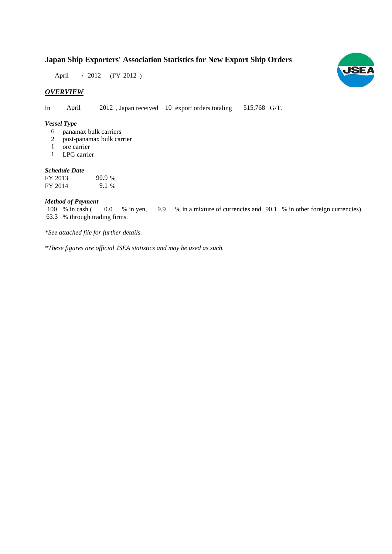## **Japan Ship Exporters' Association Statistics for New Export Ship Orders**

April / 2012 (FY 2012)

## *OVERVIEW*

In April 2012, Japan received 10 export orders totaling 515,768 G/T.

#### *Vessel Type*

- panamax bulk carriers 6
- post-panamax bulk carrier 2
- ore carrier 1
- LPG carrier 1

#### *Schedule Date*

FY 2013 FY 2014 9.1 % 90.9

#### *Method of Payment*

% in cash ( 0.0 % in yen, 9.9 % in a mixture of currencies and 90.1 % in other foreign currencies). % through trading firms. 63.3 100 % in cash ( 0.0 % in yen,

*\*See attached file for further details.*

*\*These figures are official JSEA statistics and may be used as such.*

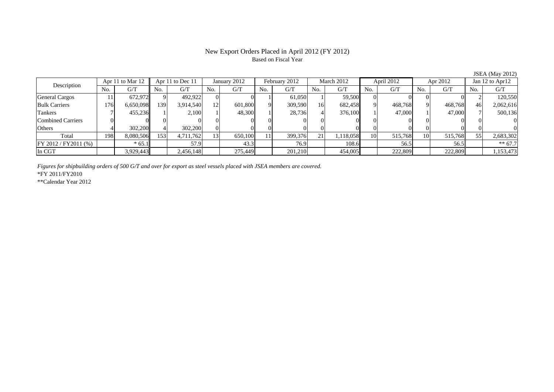#### New Export Orders Placed in April 2012 (FY 2012) Based on Fiscal Year

No. G/T No. G/T No. G/T No. G/T No. G/T No. G/T No. G/T No. G/TGeneral Cargos | 11| 672,972|| 9| 492,922| 0| 0| 1| 61,050| 1| 59,500| 0| 0| 0| 0|| 2| 120,550 Bulk Carriers | 176| 6,650,098|| 139| 3,914,540| 12| 601,800| 9| 309,590| 16| 682,458| 9| 468,768| 9| 468,768|| 46| 2,062,616 Tankers | 7| 455,236|| 1| 2,100| 1| 48,300| 1| 28,736| 4| 376,100| 1| 47,000| 1| 47,000|| 7| 500,136 Combined Carriers 0 0 0 0 0 0 0 0 0 0 0 0 0 0 0 0Others | 4| 302,200|| 4| 302,200| 0| 0| 0| 0| 0| 0| 0| 0| 0| 0 Total | 198 8,080,506|| 153 4,711,762 13 650,100| 11| 399,376| 21| 1,118,058| 10| 515,768| 10| 515,768|| 55| 2,683,302 FY 2012 / FY2011 (%) \* 65.1 56.5 \* 65.1 57.9 57.9 43.3 76.9 56.5 56.5 56.5 56.5 \* 67.7 In CGT 3,929,443 2,456,148 275,449 201,210 454,005 222,809 222,809 1,153,473 Description Apr 11 to Mar 12 Apr 11 to Dec 11 January 2012 February 2012 March 2012 April 2012 Apr 2012 Jan 12 to Apr12 March 2012 **April 2012** Apr 2012

*Figures for shipbuilding orders of 500 G/T and over for export as steel vessels placed with JSEA members are covered.*

\*FY 2011/FY2010

\*\*Calendar Year 2012

JSEA (May 2012)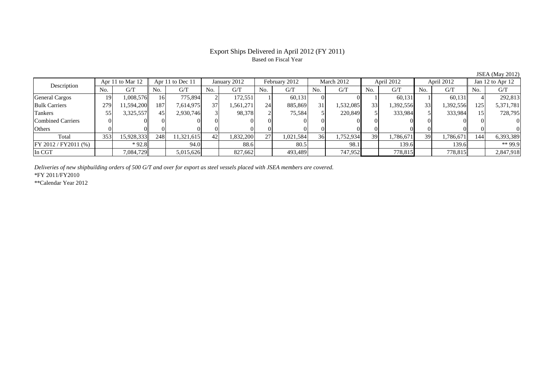### Export Ships Delivered in April 2012 (FY 2011) Based on Fiscal Year

JSEA (May 2012)

| Description           | Apr 11 to Mar 12 |            | Apr 11 to Dec 11 |            | January 2012   |           | February 2012  |           | March 2012 |           | April 2012 |           | April 2012 |           | Jan 12 to Apr 12 |           |
|-----------------------|------------------|------------|------------------|------------|----------------|-----------|----------------|-----------|------------|-----------|------------|-----------|------------|-----------|------------------|-----------|
|                       | No.              | G/T        | No.              | G/T        | N <sub>O</sub> | G/T       | N <sub>0</sub> | G/T       | No.        | G/T       | No.        | G/T       | No.        | G/T       | No.              | G/T       |
| <b>General Cargos</b> | 19               | 1.008.576  | 16               | 775.894    |                | 172.551   |                | 60,131    |            |           |            | 60,131    |            | 60.131ll  |                  | 292,813   |
| <b>Bulk Carriers</b>  | 279              | 1.594.200  | 187              | 7,614,975  | 37.            | .561,271  | 24             | 885,869   | 31         | 1,532,085 | 33         | 1,392,556 | 33         | 1,392,556 | 125              | 5,371,781 |
| Tankers               | 55               | 3,325,557  | 45               | 2,930,746  |                | 98,378    |                | 75,584    |            | 220,849   |            | 333,984   |            | 333,984   |                  | 728,795   |
| Combined Carriers     |                  |            |                  |            |                |           |                |           |            |           |            |           |            |           |                  |           |
| Others                |                  |            |                  |            |                |           |                | 01        |            |           |            |           |            |           |                  | $_{0}$    |
| Total                 | 353              | 15,928,333 | 248              | 11,321,615 | 42             | 1,832,200 | 27             | 1,021,584 | 36         | 1,752,934 | 39         | 1,786,671 | 39         | 1,786,671 | 144              | 6,393,389 |
| FY 2012 / FY 2011 (%) |                  | $*92.8$    |                  | 94.0       |                | 88.6      |                | 80.5      |            | 98.1      |            | 139.6     |            | 139.6     |                  | $**99.9$  |
| In CGT                |                  | 7,084,729  |                  | 5,015,626  |                | 827,662   |                | 493,489   |            | 747,952   |            | 778,815   |            | 778,815   |                  | 2,847,918 |

*Deliveries of new shipbuilding orders of 500 G/T and over for export as steel vessels placed with JSEA members are covered.*

\*FY 2011/FY2010

\*\*Calendar Year 2012